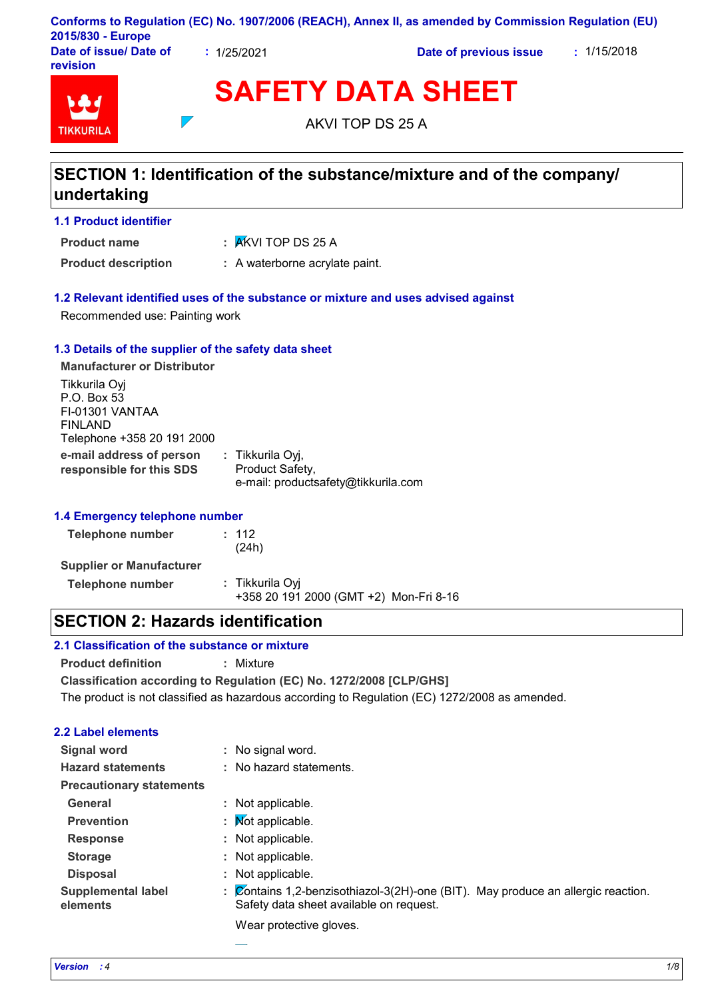| 2015/830 - Europe                  |           | Conforms to Regulation (EC) No. 1907/2006 (REACH), Annex II, as amended by Commission Regulation (EU) |             |
|------------------------------------|-----------|-------------------------------------------------------------------------------------------------------|-------------|
| Date of issue/ Date of<br>revision | 1/25/2021 | Date of previous issue                                                                                | : 1/15/2018 |

| <b>TIKKURILA</b> |
|------------------|

AKVI TOP DS 25 A

## **SECTION 1: Identification of the substance/mixture and of the company/ undertaking**

## **1.1 Product identifier**

**Product name**

AKVI TOP DS 25 A **:**

**Product description :** A waterborne acrylate paint.

## **1.2 Relevant identified uses of the substance or mixture and uses advised against**

Recommended use: Painting work

## **1.3 Details of the supplier of the safety data sheet**

 $\overline{\phantom{a}}$ 

**e-mail address of person responsible for this SDS :** Tikkurila Oyj, Product Safety, e-mail: productsafety@tikkurila.com **Manufacturer or Distributor** Tikkurila Oyj P.O. Box 53 FI-01301 VANTAA FINLAND Telephone +358 20 191 2000

## **1.4 Emergency telephone number**

| Telephone number                | : 112<br>(24h)                                            |
|---------------------------------|-----------------------------------------------------------|
| <b>Supplier or Manufacturer</b> |                                                           |
| Telephone number                | : Tikkurila Ovi<br>+358 20 191 2000 (GMT +2) Mon-Fri 8-16 |

## **SECTION 2: Hazards identification**

## **2.1 Classification of the substance or mixture**

**Product definition :** Mixture

**Classification according to Regulation (EC) No. 1272/2008 [CLP/GHS]**

The product is not classified as hazardous according to Regulation (EC) 1272/2008 as amended.

## **2.2 Label elements**

| <b>Signal word</b>                    | No signal word.                                                                                                                                         |
|---------------------------------------|---------------------------------------------------------------------------------------------------------------------------------------------------------|
| <b>Hazard statements</b>              | : No hazard statements.                                                                                                                                 |
| <b>Precautionary statements</b>       |                                                                                                                                                         |
| General                               | : Not applicable.                                                                                                                                       |
| <b>Prevention</b>                     | : Mot applicable.                                                                                                                                       |
| <b>Response</b>                       | : Not applicable.                                                                                                                                       |
| <b>Storage</b>                        | : Not applicable.                                                                                                                                       |
| <b>Disposal</b>                       | : Not applicable.                                                                                                                                       |
| <b>Supplemental label</b><br>elements | $\overline{\mathcal{Q}}$ ontains 1,2-benzisothiazol-3(2H)-one (BIT). May produce an allergic reaction.<br>÷.<br>Safety data sheet available on request. |
|                                       | Wear protective gloves.                                                                                                                                 |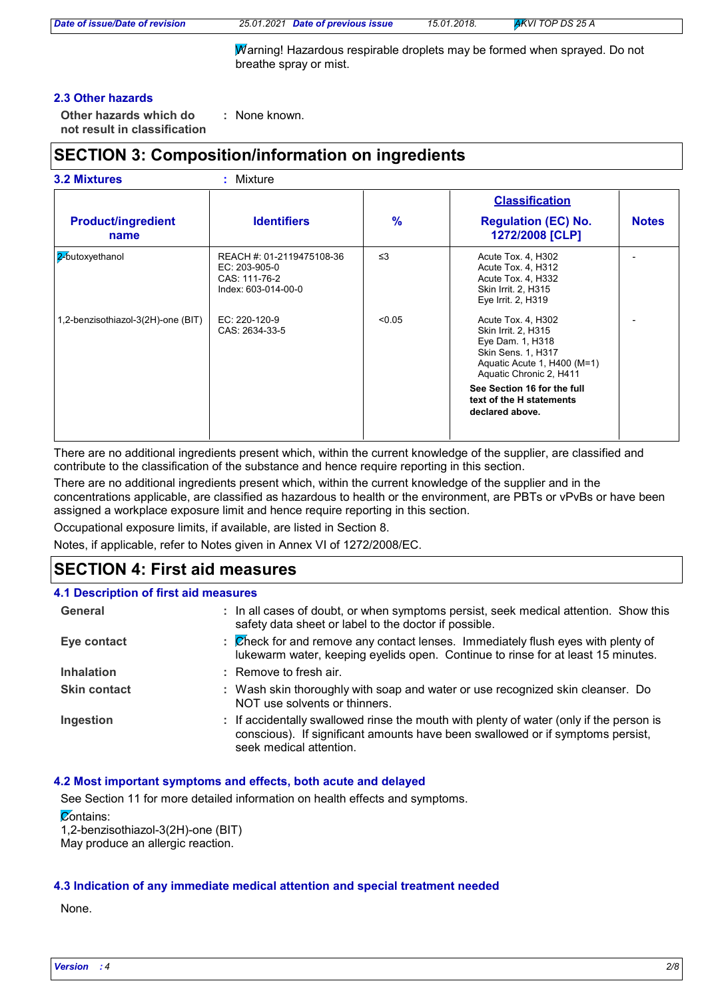|  |  | Date of issue/Date of revision |  |  |  |  |
|--|--|--------------------------------|--|--|--|--|
|--|--|--------------------------------|--|--|--|--|

*Date of issue/Date of revision 25.01.2021 Date of previous issue 15.01.2018. AKVI TOP DS 25 A*

Warning! Hazardous respirable droplets may be formed when sprayed. Do not breathe spray or mist.

## **2.3 Other hazards**

**Other hazards which do : not result in classification** : None known.

## **SECTION 3: Composition/information on ingredients**

|                                    |                                                                                    |               | <b>Classification</b>                                                                                                                                |              |
|------------------------------------|------------------------------------------------------------------------------------|---------------|------------------------------------------------------------------------------------------------------------------------------------------------------|--------------|
| <b>Product/ingredient</b><br>name  | <b>Identifiers</b>                                                                 | $\frac{9}{6}$ | <b>Regulation (EC) No.</b><br>1272/2008 [CLP]                                                                                                        | <b>Notes</b> |
| 2-butoxyethanol                    | REACH #: 01-2119475108-36<br>EC: 203-905-0<br>CAS: 111-76-2<br>Index: 603-014-00-0 | $\leq$ 3      | Acute Tox. 4, H302<br>Acute Tox. 4, H312<br>Acute Tox. 4, H332<br>Skin Irrit. 2, H315<br>Eye Irrit. 2, H319                                          |              |
| 1,2-benzisothiazol-3(2H)-one (BIT) | EC: 220-120-9<br>CAS: 2634-33-5                                                    | < 0.05        | Acute Tox. 4, H302<br>Skin Irrit. 2, H315<br>Eye Dam. 1, H318<br><b>Skin Sens. 1, H317</b><br>Aquatic Acute 1, H400 (M=1)<br>Aquatic Chronic 2, H411 |              |
|                                    |                                                                                    |               | See Section 16 for the full<br>text of the H statements<br>declared above.                                                                           |              |

There are no additional ingredients present which, within the current knowledge of the supplier, are classified and contribute to the classification of the substance and hence require reporting in this section.

There are no additional ingredients present which, within the current knowledge of the supplier and in the concentrations applicable, are classified as hazardous to health or the environment, are PBTs or vPvBs or have been assigned a workplace exposure limit and hence require reporting in this section.

Occupational exposure limits, if available, are listed in Section 8.

Notes, if applicable, refer to Notes given in Annex VI of 1272/2008/EC.

## **SECTION 4: First aid measures**

| 4.1 Description of first aid measures |                                                                                                                                                                                                      |
|---------------------------------------|------------------------------------------------------------------------------------------------------------------------------------------------------------------------------------------------------|
| General                               | : In all cases of doubt, or when symptoms persist, seek medical attention. Show this<br>safety data sheet or label to the doctor if possible.                                                        |
| Eye contact                           | : Check for and remove any contact lenses. Immediately flush eyes with plenty of<br>lukewarm water, keeping eyelids open. Continue to rinse for at least 15 minutes.                                 |
| <b>Inhalation</b>                     | $:$ Remove to fresh air.                                                                                                                                                                             |
| <b>Skin contact</b>                   | : Wash skin thoroughly with soap and water or use recognized skin cleanser. Do<br>NOT use solvents or thinners.                                                                                      |
| Ingestion                             | : If accidentally swallowed rinse the mouth with plenty of water (only if the person is<br>conscious). If significant amounts have been swallowed or if symptoms persist,<br>seek medical attention. |

### **4.2 Most important symptoms and effects, both acute and delayed**

See Section 11 for more detailed information on health effects and symptoms.

**Contains:** 

1,2-benzisothiazol-3(2H)-one (BIT)

May produce an allergic reaction.

### **4.3 Indication of any immediate medical attention and special treatment needed**

None.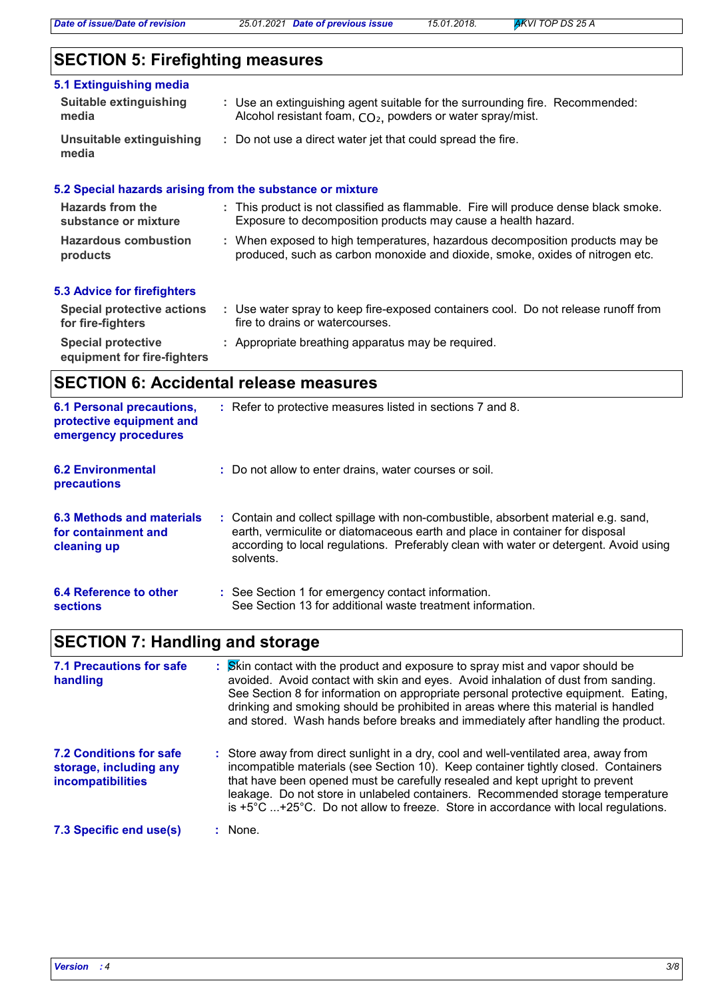# **SECTION 5: Firefighting measures**

| 5.1 Extinguishing media<br><b>Suitable extinguishing</b><br>media | : Use an extinguishing agent suitable for the surrounding fire. Recommended:<br>Alcohol resistant foam, CO <sub>2</sub> , powders or water spray/mist.        |
|-------------------------------------------------------------------|---------------------------------------------------------------------------------------------------------------------------------------------------------------|
| Unsuitable extinguishing<br>media                                 | : Do not use a direct water jet that could spread the fire.                                                                                                   |
| 5.2 Special hazards arising from the substance or mixture         |                                                                                                                                                               |
| Hazards from the<br>substance or mixture                          | : This product is not classified as flammable. Fire will produce dense black smoke.<br>Exposure to decomposition products may cause a health hazard.          |
| <b>Hazardous combustion</b><br>products                           | : When exposed to high temperatures, hazardous decomposition products may be<br>produced, such as carbon monoxide and dioxide, smoke, oxides of nitrogen etc. |
| <b>5.3 Advice for firefighters</b>                                |                                                                                                                                                               |
| <b>Special protective actions</b><br>for fire-fighters            | : Use water spray to keep fire-exposed containers cool. Do not release runoff from<br>fire to drains or watercourses.                                         |
| <b>Special protective</b><br>equipment for fire-fighters          | : Appropriate breathing apparatus may be required.                                                                                                            |

## **SECTION 6: Accidental release measures**

| <b>6.1 Personal precautions,</b><br>protective equipment and<br>emergency procedures | : Refer to protective measures listed in sections 7 and 8.                                                                                                                                                                                                               |
|--------------------------------------------------------------------------------------|--------------------------------------------------------------------------------------------------------------------------------------------------------------------------------------------------------------------------------------------------------------------------|
| <b>6.2 Environmental</b><br><b>precautions</b>                                       | : Do not allow to enter drains, water courses or soil.                                                                                                                                                                                                                   |
| 6.3 Methods and materials<br>for containment and<br>cleaning up                      | : Contain and collect spillage with non-combustible, absorbent material e.g. sand,<br>earth, vermiculite or diatomaceous earth and place in container for disposal<br>according to local regulations. Preferably clean with water or detergent. Avoid using<br>solvents. |
| 6.4 Reference to other<br><b>sections</b>                                            | : See Section 1 for emergency contact information.<br>See Section 13 for additional waste treatment information.                                                                                                                                                         |

## **SECTION 7: Handling and storage**

| <b>7.1 Precautions for safe</b><br>handling                                          | : Skin contact with the product and exposure to spray mist and vapor should be<br>avoided. Avoid contact with skin and eyes. Avoid inhalation of dust from sanding.<br>See Section 8 for information on appropriate personal protective equipment. Eating,<br>drinking and smoking should be prohibited in areas where this material is handled<br>and stored. Wash hands before breaks and immediately after handling the product.                    |  |
|--------------------------------------------------------------------------------------|--------------------------------------------------------------------------------------------------------------------------------------------------------------------------------------------------------------------------------------------------------------------------------------------------------------------------------------------------------------------------------------------------------------------------------------------------------|--|
| <b>7.2 Conditions for safe</b><br>storage, including any<br><b>incompatibilities</b> | : Store away from direct sunlight in a dry, cool and well-ventilated area, away from<br>incompatible materials (see Section 10). Keep container tightly closed. Containers<br>that have been opened must be carefully resealed and kept upright to prevent<br>leakage. Do not store in unlabeled containers. Recommended storage temperature<br>is $+5^{\circ}$ C $+25^{\circ}$ C. Do not allow to freeze. Store in accordance with local regulations. |  |
| 7.3 Specific end use(s)                                                              | $:$ None.                                                                                                                                                                                                                                                                                                                                                                                                                                              |  |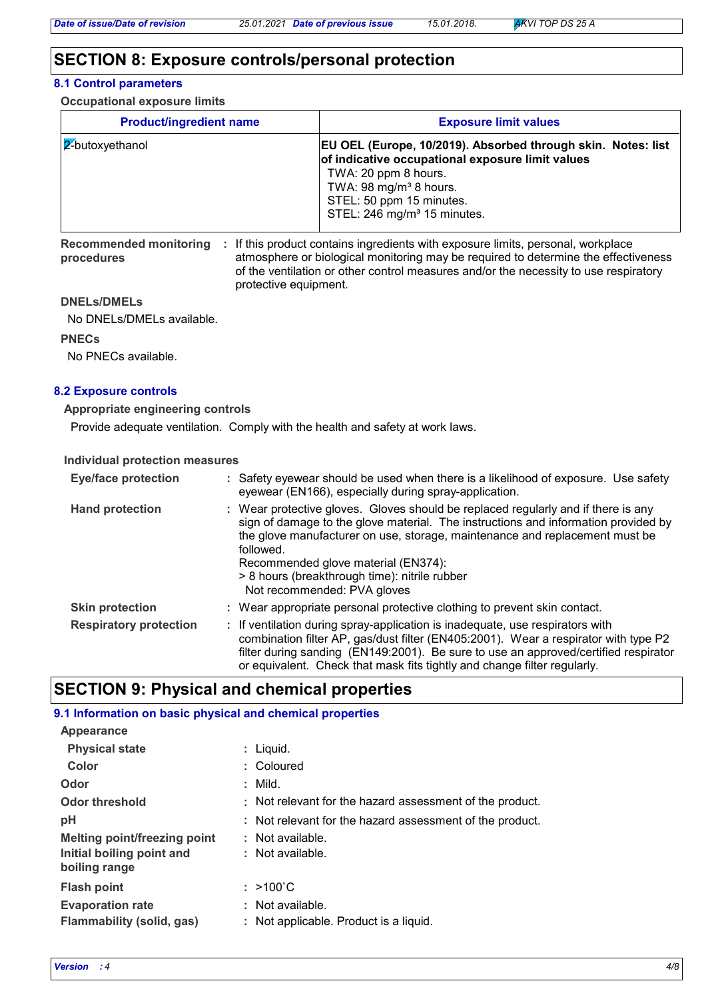## **SECTION 8: Exposure controls/personal protection**

#### **8.1 Control parameters**

**Occupational exposure limits**

| <b>Product/ingredient name</b> | <b>Exposure limit values</b>                                                                                                                                                                                                                                 |
|--------------------------------|--------------------------------------------------------------------------------------------------------------------------------------------------------------------------------------------------------------------------------------------------------------|
| 12-butoxyethanol               | <b>EU OEL (Europe, 10/2019). Absorbed through skin. Notes: list</b><br>of indicative occupational exposure limit values<br>TWA: 20 ppm 8 hours.<br>TWA: 98 mg/m <sup>3</sup> 8 hours.<br>STEL: 50 ppm 15 minutes.<br>STEL: 246 mg/m <sup>3</sup> 15 minutes. |

Recommended monitoring : If this product contains ingredients with exposure limits, personal, workplace **procedures** atmosphere or biological monitoring may be required to determine the effectiveness of the ventilation or other control measures and/or the necessity to use respiratory protective equipment.

#### **DNELs/DMELs**

No DNELs/DMELs available.

**PNECs**

No PNECs available.

### **8.2 Exposure controls**

**Appropriate engineering controls**

Provide adequate ventilation. Comply with the health and safety at work laws.

#### **Individual protection measures**

| <b>Eye/face protection</b>    | : Safety eyewear should be used when there is a likelihood of exposure. Use safety<br>eyewear (EN166), especially during spray-application.                                                                                                                                                                                                                                                |
|-------------------------------|--------------------------------------------------------------------------------------------------------------------------------------------------------------------------------------------------------------------------------------------------------------------------------------------------------------------------------------------------------------------------------------------|
| <b>Hand protection</b>        | : Wear protective gloves. Gloves should be replaced regularly and if there is any<br>sign of damage to the glove material. The instructions and information provided by<br>the glove manufacturer on use, storage, maintenance and replacement must be<br>followed.<br>Recommended glove material (EN374):<br>> 8 hours (breakthrough time): nitrile rubber<br>Not recommended: PVA gloves |
| <b>Skin protection</b>        | : Wear appropriate personal protective clothing to prevent skin contact.                                                                                                                                                                                                                                                                                                                   |
| <b>Respiratory protection</b> | : If ventilation during spray-application is inadequate, use respirators with<br>combination filter AP, gas/dust filter (EN405:2001). Wear a respirator with type P2<br>filter during sanding (EN149:2001). Be sure to use an approved/certified respirator<br>or equivalent. Check that mask fits tightly and change filter regularly.                                                    |

## **SECTION 9: Physical and chemical properties**

## **9.1 Information on basic physical and chemical properties**

| Appearance                          |                                                          |
|-------------------------------------|----------------------------------------------------------|
| <b>Physical state</b>               | $:$ Liquid.                                              |
| Color                               | : Coloured                                               |
| Odor                                | $:$ Mild.                                                |
| <b>Odor threshold</b>               | : Not relevant for the hazard assessment of the product. |
| рH                                  | : Not relevant for the hazard assessment of the product. |
| <b>Melting point/freezing point</b> | : Not available.                                         |
| Initial boiling point and           | : Not available.                                         |
| boiling range                       |                                                          |
| <b>Flash point</b>                  | $: >100^{\circ}$ C                                       |
| <b>Evaporation rate</b>             | : Not available.                                         |
| Flammability (solid, gas)           | : Not applicable. Product is a liquid.                   |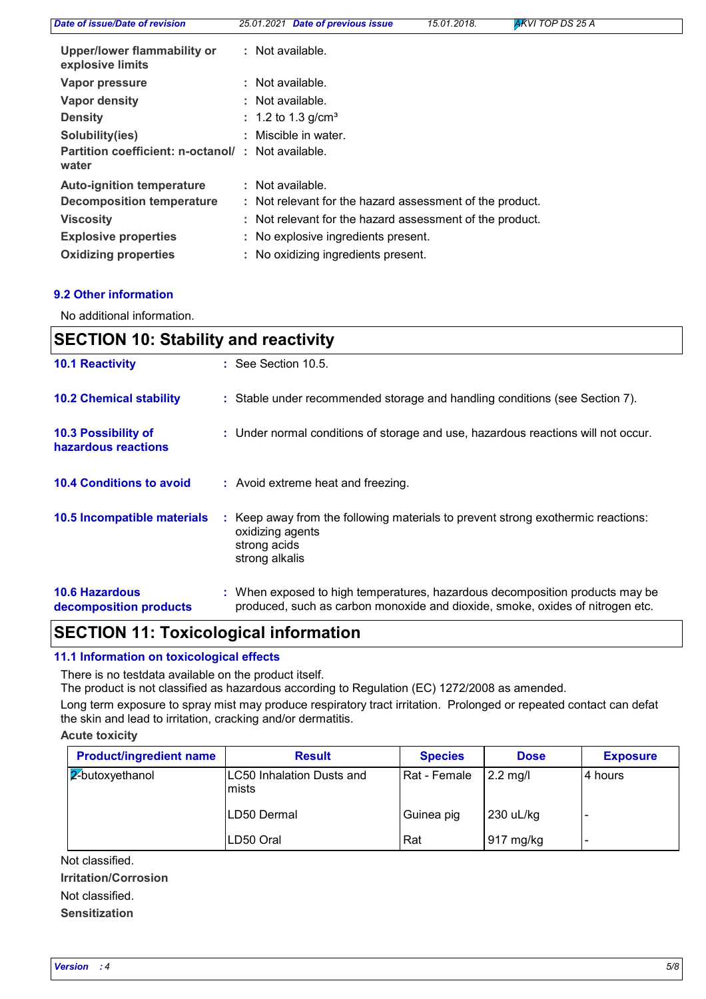| Date of issue/Date of revision                             | 25.01.2021 Date of previous issue                        | 15.01.2018. | AKVI TOP DS 25 A |
|------------------------------------------------------------|----------------------------------------------------------|-------------|------------------|
| Upper/lower flammability or<br>explosive limits            | : Not available.                                         |             |                  |
| Vapor pressure                                             | : Not available.                                         |             |                  |
| Vapor density                                              | : Not available.                                         |             |                  |
| <b>Density</b>                                             | : 1.2 to 1.3 g/cm <sup>3</sup>                           |             |                  |
| Solubility(ies)                                            | : Miscible in water.                                     |             |                  |
| Partition coefficient: n-octanol/: Not available.<br>water |                                                          |             |                  |
| <b>Auto-ignition temperature</b>                           | : Not available.                                         |             |                  |
| <b>Decomposition temperature</b>                           | : Not relevant for the hazard assessment of the product. |             |                  |
| <b>Viscosity</b>                                           | : Not relevant for the hazard assessment of the product. |             |                  |
| <b>Explosive properties</b>                                | : No explosive ingredients present.                      |             |                  |
| <b>Oxidizing properties</b>                                | : No oxidizing ingredients present.                      |             |                  |

## **9.2 Other information**

No additional information.

| <b>SECTION 10: Stability and reactivity</b>     |                                                                                                                                                               |  |
|-------------------------------------------------|---------------------------------------------------------------------------------------------------------------------------------------------------------------|--|
| <b>10.1 Reactivity</b>                          | $\therefore$ See Section 10.5.                                                                                                                                |  |
| <b>10.2 Chemical stability</b>                  | : Stable under recommended storage and handling conditions (see Section 7).                                                                                   |  |
| 10.3 Possibility of<br>hazardous reactions      | : Under normal conditions of storage and use, hazardous reactions will not occur.                                                                             |  |
| <b>10.4 Conditions to avoid</b>                 | : Avoid extreme heat and freezing.                                                                                                                            |  |
| 10.5 Incompatible materials                     | : Keep away from the following materials to prevent strong exothermic reactions:<br>oxidizing agents<br>strong acids<br>strong alkalis                        |  |
| <b>10.6 Hazardous</b><br>decomposition products | : When exposed to high temperatures, hazardous decomposition products may be<br>produced, such as carbon monoxide and dioxide, smoke, oxides of nitrogen etc. |  |

## **SECTION 11: Toxicological information**

**11.1 Information on toxicological effects**

There is no testdata available on the product itself.

The product is not classified as hazardous according to Regulation (EC) 1272/2008 as amended.

Long term exposure to spray mist may produce respiratory tract irritation. Prolonged or repeated contact can defat the skin and lead to irritation, cracking and/or dermatitis.

### **Acute toxicity**

| <b>Product/ingredient name</b> | <b>Result</b>                       | <b>Species</b> | <b>Dose</b>      | <b>Exposure</b> |
|--------------------------------|-------------------------------------|----------------|------------------|-----------------|
| $\sqrt{2}$ butoxyethanol       | LC50 Inhalation Dusts and<br>lmists | Rat - Female   | $\vert$ 2.2 mg/l | 4 hours         |
|                                | LD50 Dermal                         | Guinea pig     | 230 uL/kg        |                 |
|                                | LD50 Oral                           | Rat            | 917 mg/kg        |                 |

**Irritation/Corrosion** Not classified. Not classified.

### **Sensitization**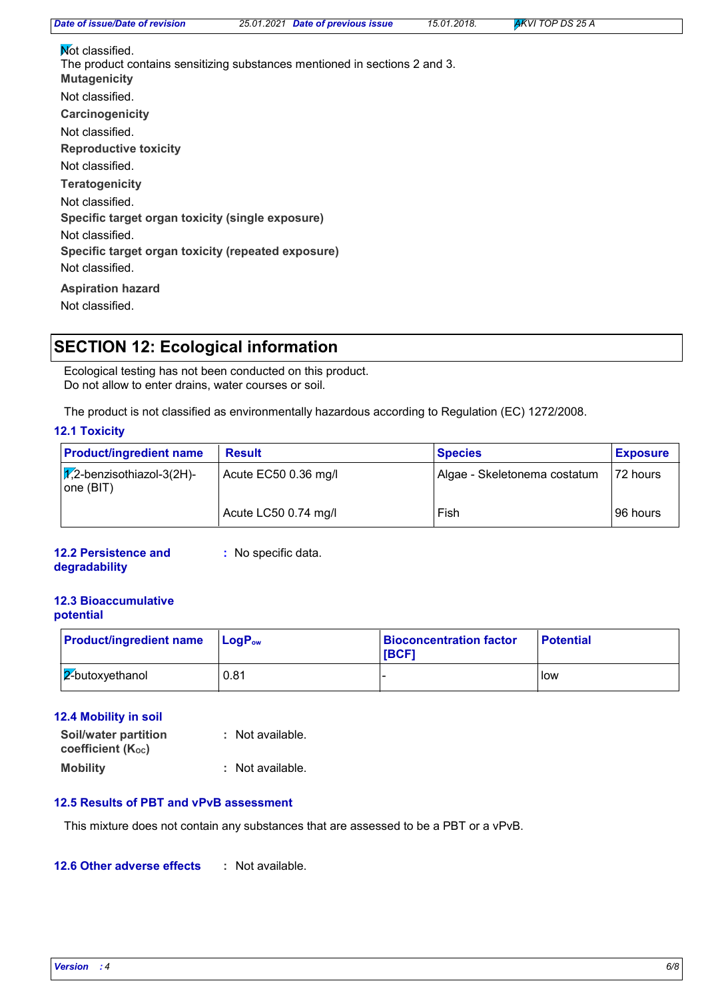*Date of issue/Date of revision 25.01.2021 Date of previous issue 15.01.2018. AKVI TOP DS 25 A*

| Not classified.                                                                                   |
|---------------------------------------------------------------------------------------------------|
| The product contains sensitizing substances mentioned in sections 2 and 3.<br><b>Mutagenicity</b> |
| Not classified.                                                                                   |
| Carcinogenicity                                                                                   |
| Not classified.                                                                                   |
| <b>Reproductive toxicity</b>                                                                      |
| Not classified.                                                                                   |
| <b>Teratogenicity</b>                                                                             |
| Not classified.                                                                                   |
| Specific target organ toxicity (single exposure)                                                  |
| Not classified.                                                                                   |
| Specific target organ toxicity (repeated exposure)                                                |
| Not classified.                                                                                   |
| <b>Aspiration hazard</b>                                                                          |
| Not classified.                                                                                   |

## **SECTION 12: Ecological information**

Ecological testing has not been conducted on this product. Do not allow to enter drains, water courses or soil.

The product is not classified as environmentally hazardous according to Regulation (EC) 1272/2008.

## **12.1 Toxicity**

| <b>Product/ingredient name</b>                 | <b>Result</b>        | <b>Species</b>               | <b>Exposure</b> |
|------------------------------------------------|----------------------|------------------------------|-----------------|
| $\sqrt{x}$ -benzisothiazol-3(2H)-<br>one (BIT) | Acute EC50 0.36 mg/l | Algae - Skeletonema costatum | 72 hours        |
|                                                | Acute LC50 0.74 mg/l | Fish                         | 96 hours        |

### **12.2 Persistence and degradability**

**:** No specific data.

## **12.3 Bioaccumulative potential**

| <b>Product/ingredient name</b> | $\mathsf{LocP}_\mathsf{ow}$ | <b>Bioconcentration factor</b><br><b>IBCF1</b> | <b>Potential</b> |
|--------------------------------|-----------------------------|------------------------------------------------|------------------|
| $ 2$ -butoxyethanol            | 0.81                        |                                                | low              |

## **12.4 Mobility in soil**

| <b>Soil/water partition</b> | : Not available. |
|-----------------------------|------------------|
| coefficient (Koc)           |                  |
| <b>Mobility</b>             | : Not available. |

## **12.5 Results of PBT and vPvB assessment**

This mixture does not contain any substances that are assessed to be a PBT or a vPvB.

#### **12.6 Other adverse effects :**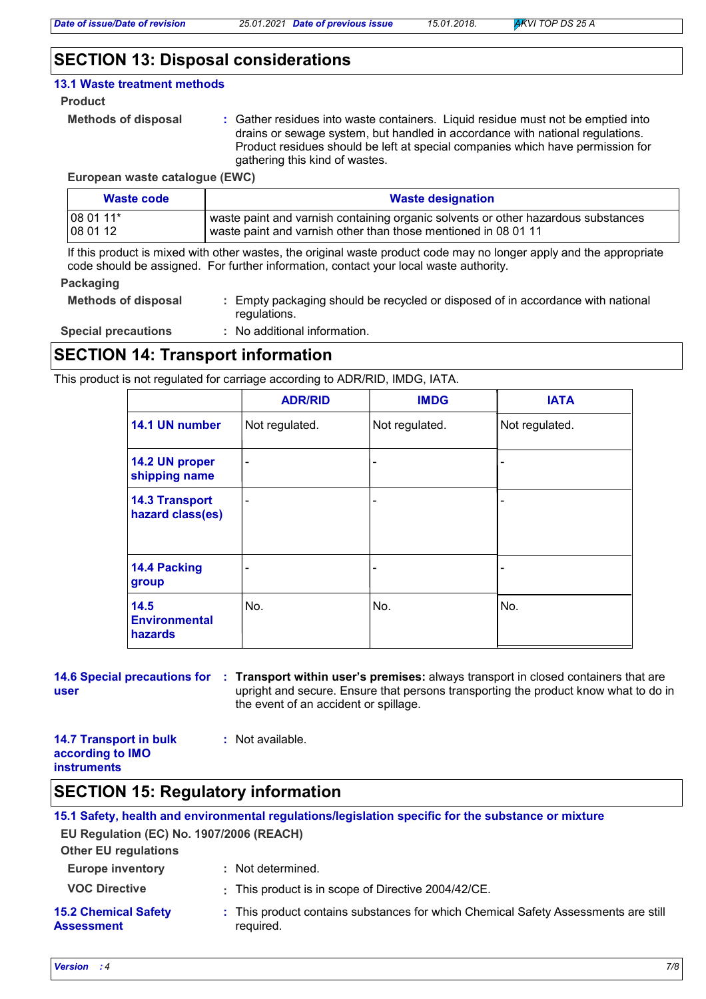## **SECTION 13: Disposal considerations**

## **13.1 Waste treatment methods**

#### **Product**

```
Methods of disposal :
```
Gather residues into waste containers. Liquid residue must not be emptied into drains or sewage system, but handled in accordance with national regulations. Product residues should be left at special companies which have permission for gathering this kind of wastes.

**European waste catalogue (EWC)**

| Waste code | <b>Waste designation</b>                                                          |
|------------|-----------------------------------------------------------------------------------|
| $1080111*$ | waste paint and varnish containing organic solvents or other hazardous substances |
| 08 01 12   | waste paint and varnish other than those mentioned in 08 01 11                    |

If this product is mixed with other wastes, the original waste product code may no longer apply and the appropriate code should be assigned. For further information, contact your local waste authority.

#### **Packaging**

| <b>Methods of disposal</b> | : Empty packaging should be recycled or disposed of in accordance with national<br>regulations. |
|----------------------------|-------------------------------------------------------------------------------------------------|
| <b>Special precautions</b> | : No additional information.                                                                    |

## **SECTION 14: Transport information**

This product is not regulated for carriage according to ADR/RID, IMDG, IATA.

|                                           | <b>ADR/RID</b>           | <b>IMDG</b>    | <b>IATA</b>    |
|-------------------------------------------|--------------------------|----------------|----------------|
| 14.1 UN number                            | Not regulated.           | Not regulated. | Not regulated. |
| 14.2 UN proper<br>shipping name           | $\overline{\phantom{a}}$ |                |                |
| <b>14.3 Transport</b><br>hazard class(es) | $\qquad \qquad$          |                |                |
| 14.4 Packing<br>group                     | -                        |                |                |
| 14.5<br><b>Environmental</b><br>hazards   | No.                      | No.            | No.            |

**14.6 Special precautions for : Transport within user's premises: always transport in closed containers that are user** upright and secure. Ensure that persons transporting the product know what to do in the event of an accident or spillage.

#### **14.7 Transport in bulk according to IMO instruments :** Not available.

## **SECTION 15: Regulatory information**

|                                                  | 15.1 Safety, health and environmental regulations/legislation specific for the substance or mixture |
|--------------------------------------------------|-----------------------------------------------------------------------------------------------------|
| EU Regulation (EC) No. 1907/2006 (REACH)         |                                                                                                     |
| <b>Other EU regulations</b>                      |                                                                                                     |
| <b>Europe inventory</b>                          | : Not determined.                                                                                   |
| <b>VOC Directive</b>                             | : This product is in scope of Directive 2004/42/CE.                                                 |
| <b>15.2 Chemical Safety</b><br><b>Assessment</b> | : This product contains substances for which Chemical Safety Assessments are still<br>required.     |